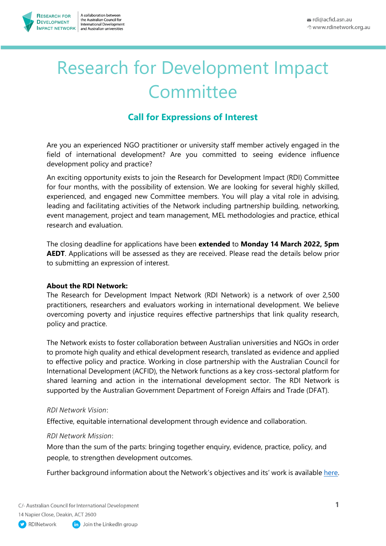# Research for Development Impact **Committee**

# **Call for Expressions of Interest**

Are you an experienced NGO practitioner or university staff member actively engaged in the field of international development? Are you committed to seeing evidence influence development policy and practice?

An exciting opportunity exists to join the Research for Development Impact (RDI) Committee for four months, with the possibility of extension. We are looking for several highly skilled, experienced, and engaged new Committee members. You will play a vital role in advising, leading and facilitating activities of the Network including partnership building, networking, event management, project and team management, MEL methodologies and practice, ethical research and evaluation.

The closing deadline for applications have been **extended** to **Monday 14 March 2022, 5pm AEDT**. Applications will be assessed as they are received. Please read the details below prior to submitting an expression of interest.

# **About the RDI Network:**

The Research for Development Impact Network (RDI Network) is a network of over 2,500 practitioners, researchers and evaluators working in international development. We believe overcoming poverty and injustice requires effective partnerships that link quality research, policy and practice.

The Network exists to foster collaboration between Australian universities and NGOs in order to promote high quality and ethical development research, translated as evidence and applied to effective policy and practice. Working in close partnership with the Australian Council for International Development (ACFID), the Network functions as a key cross-sectoral platform for shared learning and action in the international development sector. The RDI Network is supported by the Australian Government Department of Foreign Affairs and Trade (DFAT).

# *RDI Network Vision*:

Effective, equitable international development through evidence and collaboration.

# *RDI Network Mission*:

More than the sum of the parts: bringing together enquiry, evidence, practice, policy, and people, to strengthen development outcomes.

Further background information about the Network's objectives and its' work is availabl[e here.](https://rdinetwork.org.au/about-us/)

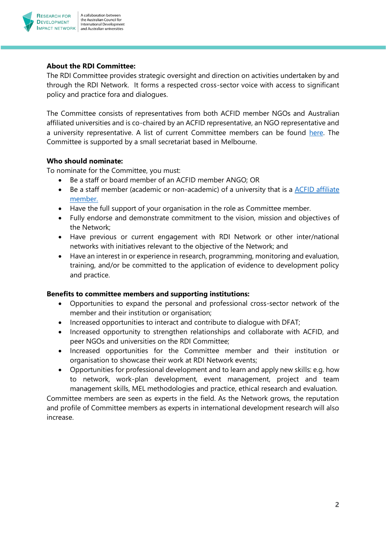

# **About the RDI Committee:**

The RDI Committee provides strategic oversight and direction on activities undertaken by and through the RDI Network. It forms a respected cross-sector voice with access to significant policy and practice fora and dialogues.

The Committee consists of representatives from both ACFID member NGOs and Australian affiliated universities and is co-chaired by an ACFID representative, an NGO representative and a university representative. A list of current Committee members can be found [here.](https://rdinetwork.org.au/about-us/rdi-committee/) The Committee is supported by a small secretariat based in Melbourne.

#### **Who should nominate:**

To nominate for the Committee, you must:

- Be a staff or board member of an ACFID member ANGO; OR
- Be a staff member (academic or non-academic) of a university that is a [ACFID affiliate](https://acfid.asn.au/get-involved/find-member)  [member.](https://acfid.asn.au/get-involved/find-member)
- Have the full support of your organisation in the role as Committee member.
- Fully endorse and demonstrate commitment to the vision, mission and objectives of the Network;
- Have previous or current engagement with RDI Network or other inter/national networks with initiatives relevant to the objective of the Network; and
- Have an interest in or experience in research, programming, monitoring and evaluation, training, and/or be committed to the application of evidence to development policy and practice.

# **Benefits to committee members and supporting institutions:**

- Opportunities to expand the personal and professional cross-sector network of the member and their institution or organisation;
- Increased opportunities to interact and contribute to dialogue with DFAT;
- Increased opportunity to strengthen relationships and collaborate with ACFID, and peer NGOs and universities on the RDI Committee;
- Increased opportunities for the Committee member and their institution or organisation to showcase their work at RDI Network events;
- Opportunities for professional development and to learn and apply new skills: e.g. how to network, work-plan development, event management, project and team management skills, MEL methodologies and practice, ethical research and evaluation.

Committee members are seen as experts in the field. As the Network grows, the reputation and profile of Committee members as experts in international development research will also increase.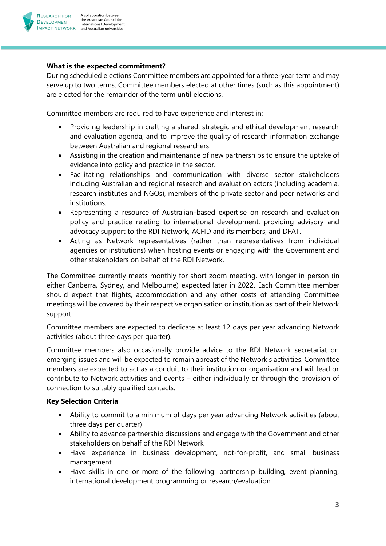

#### **What is the expected commitment?**

During scheduled elections Committee members are appointed for a three-year term and may serve up to two terms. Committee members elected at other times (such as this appointment) are elected for the remainder of the term until elections.

Committee members are required to have experience and interest in:

- Providing leadership in crafting a shared, strategic and ethical development research and evaluation agenda, and to improve the quality of research information exchange between Australian and regional researchers.
- Assisting in the creation and maintenance of new partnerships to ensure the uptake of evidence into policy and practice in the sector.
- Facilitating relationships and communication with diverse sector stakeholders including Australian and regional research and evaluation actors (including academia, research institutes and NGOs), members of the private sector and peer networks and institutions.
- Representing a resource of Australian-based expertise on research and evaluation policy and practice relating to international development; providing advisory and advocacy support to the RDI Network, ACFID and its members, and DFAT.
- Acting as Network representatives (rather than representatives from individual agencies or institutions) when hosting events or engaging with the Government and other stakeholders on behalf of the RDI Network.

The Committee currently meets monthly for short zoom meeting, with longer in person (in either Canberra, Sydney, and Melbourne) expected later in 2022. Each Committee member should expect that flights, accommodation and any other costs of attending Committee meetings will be covered by their respective organisation or institution as part of their Network support.

Committee members are expected to dedicate at least 12 days per year advancing Network activities (about three days per quarter).

Committee members also occasionally provide advice to the RDI Network secretariat on emerging issues and will be expected to remain abreast of the Network's activities. Committee members are expected to act as a conduit to their institution or organisation and will lead or contribute to Network activities and events – either individually or through the provision of connection to suitably qualified contacts.

# **Key Selection Criteria**

- Ability to commit to a minimum of days per year advancing Network activities (about three days per quarter)
- Ability to advance partnership discussions and engage with the Government and other stakeholders on behalf of the RDI Network
- Have experience in business development, not-for-profit, and small business management
- Have skills in one or more of the following: partnership building, event planning, international development programming or research/evaluation